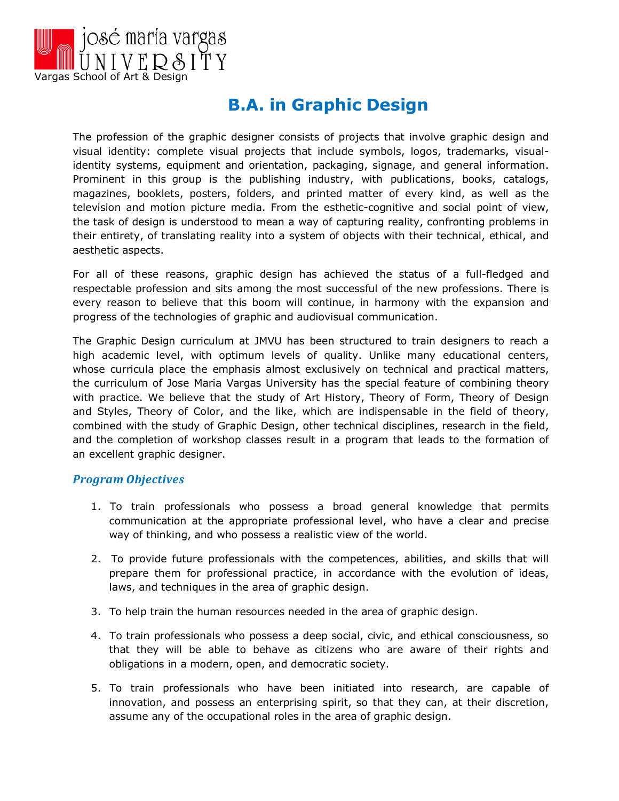

# **B.A. in Graphic Design**

The profession of the graphic designer consists of projects that involve graphic design and visual identity: complete visual projects that include symbols, logos, trademarks, visualidentity systems, equipment and orientation, packaging, signage, and general information. Prominent in this group is the publishing industry, with publications, books, catalogs, magazines, booklets, posters, folders, and printed matter of every kind, as well as the television and motion picture media. From the esthetic-cognitive and social point of view, the task of design is understood to mean a way of capturing reality, confronting problems in their entirety, of translating reality into a system of objects with their technical, ethical, and aesthetic aspects.

For all of these reasons, graphic design has achieved the status of a full-fledged and respectable profession and sits among the most successful of the new professions. There is every reason to believe that this boom will continue, in harmony with the expansion and progress of the technologies of graphic and audiovisual communication.

The Graphic Design curriculum at JMVU has been structured to train designers to reach a high academic level, with optimum levels of quality. Unlike many educational centers, whose curricula place the emphasis almost exclusively on technical and practical matters, the curriculum of Jose Maria Vargas University has the special feature of combining theory with practice. We believe that the study of Art History, Theory of Form, Theory of Design and Styles, Theory of Color, and the like, which are indispensable in the field of theory, combined with the study of Graphic Design, other technical disciplines, research in the field, and the completion of workshop classes result in a program that leads to the formation of an excellent graphic designer.

#### *Program Objectives*

- 1. To train professionals who possess a broad general knowledge that permits communication at the appropriate professional level, who have a clear and precise way of thinking, and who possess a realistic view of the world.
- 2. To provide future professionals with the competences, abilities, and skills that will prepare them for professional practice, in accordance with the evolution of ideas, laws, and techniques in the area of graphic design.
- 3. To help train the human resources needed in the area of graphic design.
- 4. To train professionals who possess a deep social, civic, and ethical consciousness, so that they will be able to behave as citizens who are aware of their rights and obligations in a modern, open, and democratic society.
- 5. To train professionals who have been initiated into research, are capable of innovation, and possess an enterprising spirit, so that they can, at their discretion, assume any of the occupational roles in the area of graphic design.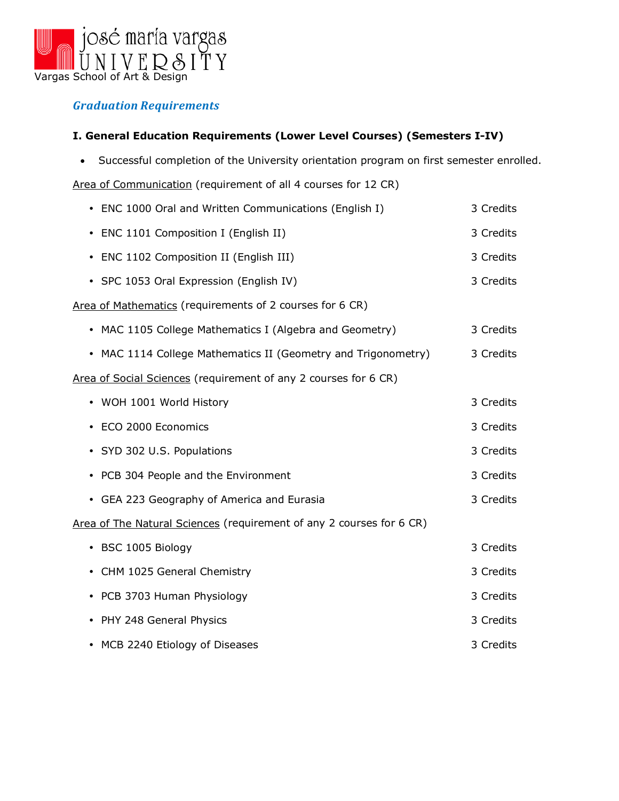

## *Graduation Requirements*

### **I. General Education Requirements (Lower Level Courses) (Semesters I-IV)**

• Successful completion of the University orientation program on first semester enrolled.

Area of Communication (requirement of all 4 courses for 12 CR)

| • ENC 1000 Oral and Written Communications (English I)               | 3 Credits |
|----------------------------------------------------------------------|-----------|
| • ENC 1101 Composition I (English II)                                | 3 Credits |
| • ENC 1102 Composition II (English III)                              | 3 Credits |
| • SPC 1053 Oral Expression (English IV)                              | 3 Credits |
| Area of Mathematics (requirements of 2 courses for 6 CR)             |           |
| • MAC 1105 College Mathematics I (Algebra and Geometry)              | 3 Credits |
| • MAC 1114 College Mathematics II (Geometry and Trigonometry)        | 3 Credits |
| Area of Social Sciences (requirement of any 2 courses for 6 CR)      |           |
| • WOH 1001 World History                                             | 3 Credits |
| ECO 2000 Economics                                                   | 3 Credits |
| • SYD 302 U.S. Populations                                           | 3 Credits |
| • PCB 304 People and the Environment                                 | 3 Credits |
| • GEA 223 Geography of America and Eurasia                           | 3 Credits |
| Area of The Natural Sciences (requirement of any 2 courses for 6 CR) |           |
| • BSC 1005 Biology                                                   | 3 Credits |
| • CHM 1025 General Chemistry                                         | 3 Credits |
| • PCB 3703 Human Physiology                                          | 3 Credits |
| • PHY 248 General Physics                                            | 3 Credits |
| • MCB 2240 Etiology of Diseases                                      | 3 Credits |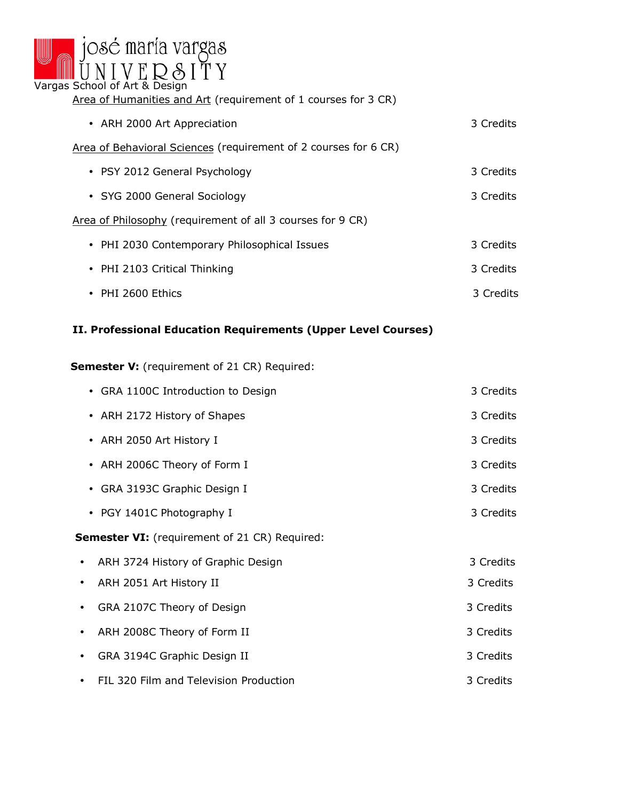

Area of Humanities and Art (requirement of 1 courses for 3 CR)

| • ARH 2000 Art Appreciation                                     | 3 Credits |
|-----------------------------------------------------------------|-----------|
| Area of Behavioral Sciences (requirement of 2 courses for 6 CR) |           |
| • PSY 2012 General Psychology                                   | 3 Credits |
| • SYG 2000 General Sociology                                    | 3 Credits |
| Area of Philosophy (requirement of all 3 courses for 9 CR)      |           |
| • PHI 2030 Contemporary Philosophical Issues                    | 3 Credits |
| • PHI 2103 Critical Thinking                                    | 3 Credits |
| • PHI 2600 Ethics                                               | 3 Credits |

### **II. Professional Education Requirements (Upper Level Courses)**

**Semester V:** (requirement of 21 CR) Required:

|                                                      | • GRA 1100C Introduction to Design     | 3 Credits |
|------------------------------------------------------|----------------------------------------|-----------|
|                                                      | • ARH 2172 History of Shapes           | 3 Credits |
|                                                      | • ARH 2050 Art History I               | 3 Credits |
|                                                      | • ARH 2006C Theory of Form I           | 3 Credits |
| $\bullet$                                            | GRA 3193C Graphic Design I             | 3 Credits |
|                                                      | • PGY 1401C Photography I              | 3 Credits |
| <b>Semester VI:</b> (requirement of 21 CR) Required: |                                        |           |
|                                                      | ARH 3724 History of Graphic Design     | 3 Credits |
| ٠                                                    | ARH 2051 Art History II                | 3 Credits |
| ٠                                                    | GRA 2107C Theory of Design             | 3 Credits |
|                                                      | ARH 2008C Theory of Form II            | 3 Credits |
|                                                      | GRA 3194C Graphic Design II            | 3 Credits |
|                                                      | FIL 320 Film and Television Production | 3 Credits |